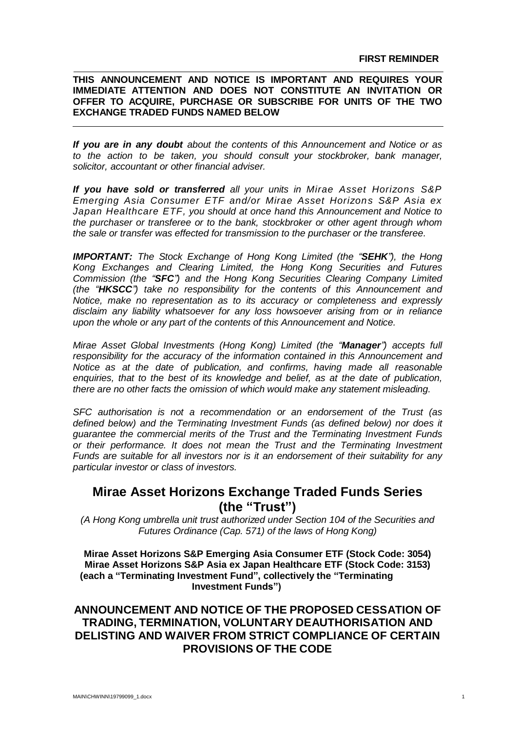## **THIS ANNOUNCEMENT AND NOTICE IS IMPORTANT AND REQUIRES YOUR IMMEDIATE ATTENTION AND DOES NOT CONSTITUTE AN INVITATION OR OFFER TO ACQUIRE, PURCHASE OR SUBSCRIBE FOR UNITS OF THE TWO EXCHANGE TRADED FUNDS NAMED BELOW**

*If you are in any doubt about the contents of this Announcement and Notice or as to the action to be taken, you should consult your stockbroker, bank manager, solicitor, accountant or other financial adviser.*

*If you have sold or transferred all your units in Mirae Asset Horizons S&P Emerging Asia Consumer ETF and/or Mirae Asset Horizons S&P Asia ex Japan Healthcare ETF, you should at once hand this Announcement and Notice to the purchaser or transferee or to the bank, stockbroker or other agent through whom the sale or transfer was effected for transmission to the purchaser or the transferee.*

*IMPORTANT: The Stock Exchange of Hong Kong Limited (the "SEHK"), the Hong Kong Exchanges and Clearing Limited, the Hong Kong Securities and Futures Commission (the "SFC") and the Hong Kong Securities Clearing Company Limited (the "HKSCC") take no responsibility for the contents of this Announcement and Notice, make no representation as to its accuracy or completeness and expressly disclaim any liability whatsoever for any loss howsoever arising from or in reliance upon the whole or any part of the contents of this Announcement and Notice.*

*Mirae Asset Global Investments (Hong Kong) Limited (the "Manager") accepts full responsibility for the accuracy of the information contained in this Announcement and Notice as at the date of publication, and confirms, having made all reasonable enquiries, that to the best of its knowledge and belief, as at the date of publication, there are no other facts the omission of which would make any statement misleading.*

*SFC authorisation is not a recommendation or an endorsement of the Trust (as defined below) and the Terminating Investment Funds (as defined below) nor does it guarantee the commercial merits of the Trust and the Terminating Investment Funds or their performance. It does not mean the Trust and the Terminating Investment Funds are suitable for all investors nor is it an endorsement of their suitability for any particular investor or class of investors.*

# **Mirae Asset Horizons Exchange Traded Funds Series (the "Trust")**

*(A Hong Kong umbrella unit trust authorized under Section 104 of the Securities and Futures Ordinance (Cap. 571) of the laws of Hong Kong)*

**Mirae Asset Horizons S&P Emerging Asia Consumer ETF (Stock Code: 3054) Mirae Asset Horizons S&P Asia ex Japan Healthcare ETF (Stock Code: 3153) (each a "Terminating Investment Fund", collectively the "Terminating Investment Funds")**

## **ANNOUNCEMENT AND NOTICE OF THE PROPOSED CESSATION OF TRADING, TERMINATION, VOLUNTARY DEAUTHORISATION AND DELISTING AND WAIVER FROM STRICT COMPLIANCE OF CERTAIN PROVISIONS OF THE CODE**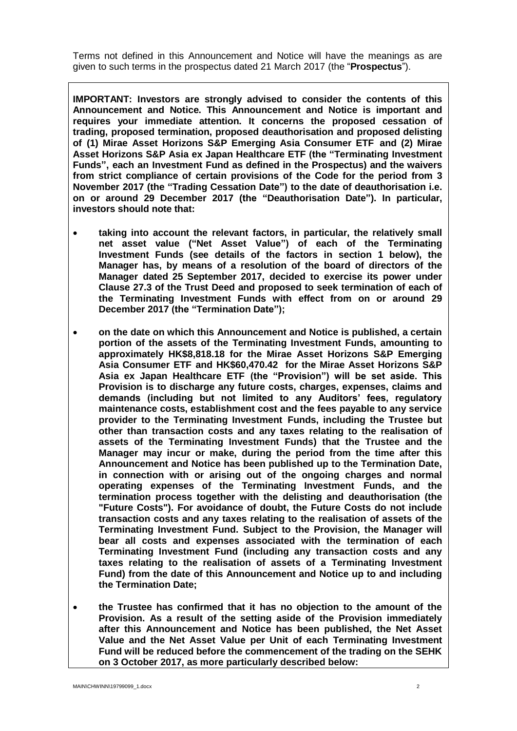Terms not defined in this Announcement and Notice will have the meanings as are given to such terms in the prospectus dated 21 March 2017 (the "**Prospectus**").

**IMPORTANT: Investors are strongly advised to consider the contents of this Announcement and Notice. This Announcement and Notice is important and requires your immediate attention. It concerns the proposed cessation of trading, proposed termination, proposed deauthorisation and proposed delisting of (1) Mirae Asset Horizons S&P Emerging Asia Consumer ETF and (2) Mirae Asset Horizons S&P Asia ex Japan Healthcare ETF (the "Terminating Investment Funds", each an Investment Fund as defined in the Prospectus) and the waivers from strict compliance of certain provisions of the Code for the period from 3 November 2017 (the "Trading Cessation Date") to the date of deauthorisation i.e. on or around 29 December 2017 (the "Deauthorisation Date"). In particular, investors should note that:**

- **taking into account the relevant factors, in particular, the relatively small net asset value ("Net Asset Value") of each of the Terminating Investment Funds (see details of the factors in section 1 below), the Manager has, by means of a resolution of the board of directors of the Manager dated 25 September 2017, decided to exercise its power under Clause 27.3 of the Trust Deed and proposed to seek termination of each of the Terminating Investment Funds with effect from on or around 29 December 2017 (the "Termination Date");**
- **on the date on which this Announcement and Notice is published, a certain portion of the assets of the Terminating Investment Funds, amounting to approximately HK\$8,818.18 for the Mirae Asset Horizons S&P Emerging Asia Consumer ETF and HK\$60,470.42 for the Mirae Asset Horizons S&P Asia ex Japan Healthcare ETF (the "Provision") will be set aside. This Provision is to discharge any future costs, charges, expenses, claims and demands (including but not limited to any Auditors' fees, regulatory maintenance costs, establishment cost and the fees payable to any service provider to the Terminating Investment Funds, including the Trustee but other than transaction costs and any taxes relating to the realisation of assets of the Terminating Investment Funds) that the Trustee and the Manager may incur or make, during the period from the time after this Announcement and Notice has been published up to the Termination Date, in connection with or arising out of the ongoing charges and normal operating expenses of the Terminating Investment Funds, and the termination process together with the delisting and deauthorisation (the "Future Costs"). For avoidance of doubt, the Future Costs do not include transaction costs and any taxes relating to the realisation of assets of the Terminating Investment Fund. Subject to the Provision, the Manager will bear all costs and expenses associated with the termination of each Terminating Investment Fund (including any transaction costs and any taxes relating to the realisation of assets of a Terminating Investment Fund) from the date of this Announcement and Notice up to and including the Termination Date;**
- **the Trustee has confirmed that it has no objection to the amount of the Provision. As a result of the setting aside of the Provision immediately after this Announcement and Notice has been published, the Net Asset Value and the Net Asset Value per Unit of each Terminating Investment Fund will be reduced before the commencement of the trading on the SEHK on 3 October 2017, as more particularly described below:**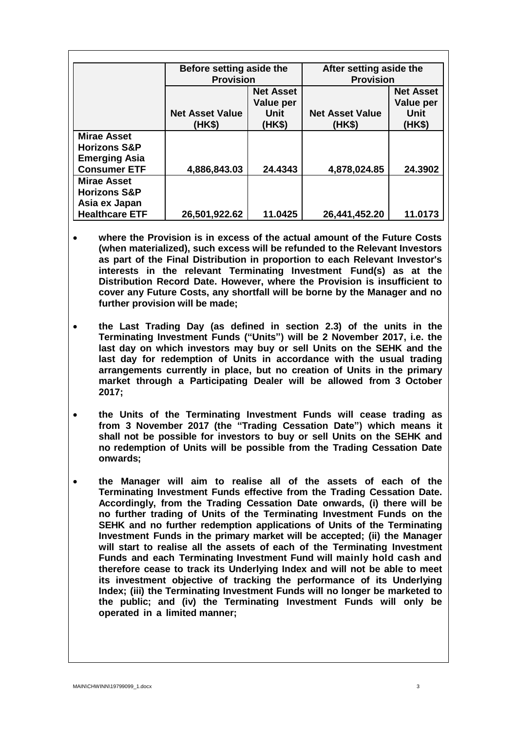|                                                                       | Before setting aside the<br><b>Provision</b> |                               | After setting aside the<br><b>Provision</b> |                               |
|-----------------------------------------------------------------------|----------------------------------------------|-------------------------------|---------------------------------------------|-------------------------------|
|                                                                       |                                              |                               |                                             |                               |
|                                                                       |                                              | <b>Net Asset</b><br>Value per |                                             | <b>Net Asset</b><br>Value per |
|                                                                       | <b>Net Asset Value</b><br>(HK\$)             | Unit<br>(HK\$)                | <b>Net Asset Value</b><br>(HK\$)            | <b>Unit</b><br>(HK\$)         |
| <b>Mirae Asset</b><br><b>Horizons S&amp;P</b><br><b>Emerging Asia</b> |                                              |                               |                                             |                               |
| <b>Consumer ETF</b>                                                   | 4,886,843.03                                 | 24.4343                       | 4,878,024.85                                | 24.3902                       |
| <b>Mirae Asset</b><br><b>Horizons S&amp;P</b><br>Asia ex Japan        |                                              |                               |                                             |                               |
| <b>Healthcare ETF</b>                                                 | 26,501,922.62                                | 11.0425                       | 26,441,452.20                               | 11.0173                       |

- **where the Provision is in excess of the actual amount of the Future Costs (when materialized), such excess will be refunded to the Relevant Investors as part of the Final Distribution in proportion to each Relevant Investor's interests in the relevant Terminating Investment Fund(s) as at the Distribution Record Date. However, where the Provision is insufficient to cover any Future Costs, any shortfall will be borne by the Manager and no further provision will be made;**
- **the Last Trading Day (as defined in section 2.3) of the units in the Terminating Investment Funds ("Units") will be 2 November 2017, i.e. the last day on which investors may buy or sell Units on the SEHK and the last day for redemption of Units in accordance with the usual trading arrangements currently in place, but no creation of Units in the primary market through a Participating Dealer will be allowed from 3 October 2017;**
- **the Units of the Terminating Investment Funds will cease trading as from 3 November 2017 (the "Trading Cessation Date") which means it shall not be possible for investors to buy or sell Units on the SEHK and no redemption of Units will be possible from the Trading Cessation Date onwards;**
- **the Manager will aim to realise all of the assets of each of the Terminating Investment Funds effective from the Trading Cessation Date. Accordingly, from the Trading Cessation Date onwards, (i) there will be no further trading of Units of the Terminating Investment Funds on the SEHK and no further redemption applications of Units of the Terminating Investment Funds in the primary market will be accepted; (ii) the Manager will start to realise all the assets of each of the Terminating Investment Funds and each Terminating Investment Fund will mainly hold cash and therefore cease to track its Underlying Index and will not be able to meet its investment objective of tracking the performance of its Underlying Index; (iii) the Terminating Investment Funds will no longer be marketed to the public; and (iv) the Terminating Investment Funds will only be operated in a limited manner;**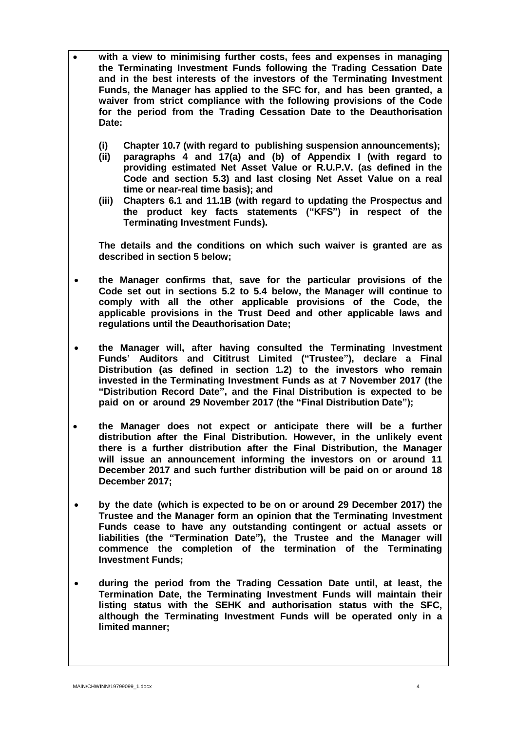- **with a view to minimising further costs, fees and expenses in managing the Terminating Investment Funds following the Trading Cessation Date and in the best interests of the investors of the Terminating Investment Funds, the Manager has applied to the SFC for, and has been granted, a waiver from strict compliance with the following provisions of the Code for the period from the Trading Cessation Date to the Deauthorisation Date:**
	- **(i) Chapter 10.7 (with regard to publishing suspension announcements);**
	- **(ii) paragraphs 4 and 17(a) and (b) of Appendix I (with regard to providing estimated Net Asset Value or R.U.P.V. (as defined in the Code and section 5.3) and last closing Net Asset Value on a real time or near-real time basis); and**
	- **(iii) Chapters 6.1 and 11.1B (with regard to updating the Prospectus and the product key facts statements ("KFS") in respect of the Terminating Investment Funds).**

**The details and the conditions on which such waiver is granted are as described in section 5 below;**

- **the Manager confirms that, save for the particular provisions of the Code set out in sections 5.2 to 5.4 below, the Manager will continue to comply with all the other applicable provisions of the Code, the applicable provisions in the Trust Deed and other applicable laws and regulations until the Deauthorisation Date;**
- **the Manager will, after having consulted the Terminating Investment Funds' Auditors and Cititrust Limited ("Trustee"), declare a Final Distribution (as defined in section 1.2) to the investors who remain invested in the Terminating Investment Funds as at 7 November 2017 (the "Distribution Record Date", and the Final Distribution is expected to be paid on or around 29 November 2017 (the "Final Distribution Date");**
- **the Manager does not expect or anticipate there will be a further distribution after the Final Distribution. However, in the unlikely event there is a further distribution after the Final Distribution, the Manager will issue an announcement informing the investors on or around 11 December 2017 and such further distribution will be paid on or around 18 December 2017;**
- **by the date (which is expected to be on or around 29 December 2017) the Trustee and the Manager form an opinion that the Terminating Investment Funds cease to have any outstanding contingent or actual assets or liabilities (the "Termination Date"), the Trustee and the Manager will commence the completion of the termination of the Terminating Investment Funds;**
- **during the period from the Trading Cessation Date until, at least, the Termination Date, the Terminating Investment Funds will maintain their listing status with the SEHK and authorisation status with the SFC, although the Terminating Investment Funds will be operated only in a limited manner;**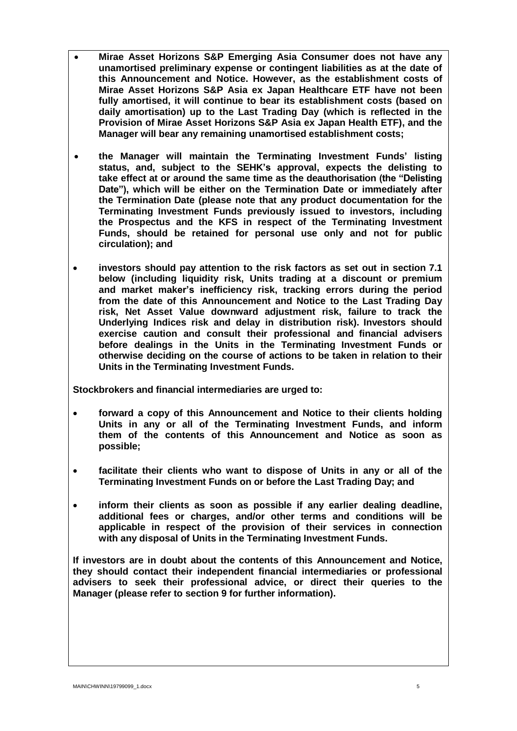- **Mirae Asset Horizons S&P Emerging Asia Consumer does not have any unamortised preliminary expense or contingent liabilities as at the date of this Announcement and Notice. However, as the establishment costs of Mirae Asset Horizons S&P Asia ex Japan Healthcare ETF have not been fully amortised, it will continue to bear its establishment costs (based on daily amortisation) up to the Last Trading Day (which is reflected in the Provision of Mirae Asset Horizons S&P Asia ex Japan Health ETF), and the Manager will bear any remaining unamortised establishment costs;**
- **the Manager will maintain the Terminating Investment Funds' listing status, and, subject to the SEHK's approval, expects the delisting to take effect at or around the same time as the deauthorisation (the "Delisting Date"), which will be either on the Termination Date or immediately after the Termination Date (please note that any product documentation for the Terminating Investment Funds previously issued to investors, including the Prospectus and the KFS in respect of the Terminating Investment Funds, should be retained for personal use only and not for public circulation); and**
- **investors should pay attention to the risk factors as set out in section 7.1 below (including liquidity risk, Units trading at a discount or premium and market maker's inefficiency risk, tracking errors during the period from the date of this Announcement and Notice to the Last Trading Day risk, Net Asset Value downward adjustment risk, failure to track the Underlying Indices risk and delay in distribution risk). Investors should exercise caution and consult their professional and financial advisers before dealings in the Units in the Terminating Investment Funds or otherwise deciding on the course of actions to be taken in relation to their Units in the Terminating Investment Funds.**

**Stockbrokers and financial intermediaries are urged to:**

- **forward a copy of this Announcement and Notice to their clients holding Units in any or all of the Terminating Investment Funds, and inform them of the contents of this Announcement and Notice as soon as possible;**
- **facilitate their clients who want to dispose of Units in any or all of the Terminating Investment Funds on or before the Last Trading Day; and**
- **inform their clients as soon as possible if any earlier dealing deadline, additional fees or charges, and/or other terms and conditions will be applicable in respect of the provision of their services in connection with any disposal of Units in the Terminating Investment Funds.**

**If investors are in doubt about the contents of this Announcement and Notice, they should contact their independent financial intermediaries or professional advisers to seek their professional advice, or direct their queries to the Manager (please refer to section 9 for further information).**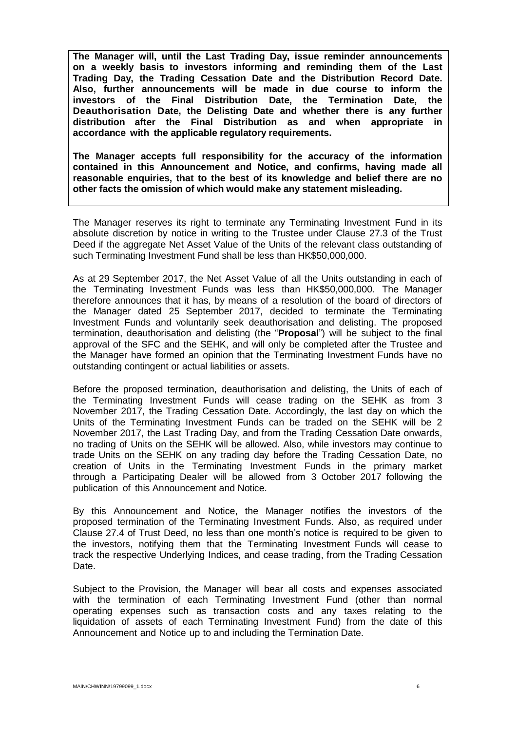**The Manager will, until the Last Trading Day, issue reminder announcements on a weekly basis to investors informing and reminding them of the Last Trading Day, the Trading Cessation Date and the Distribution Record Date. Also, further announcements will be made in due course to inform the investors of the Final Distribution Date, the Termination Date, the Deauthorisation Date, the Delisting Date and whether there is any further distribution after the Final Distribution as and when appropriate in accordance with the applicable regulatory requirements.**

**The Manager accepts full responsibility for the accuracy of the information contained in this Announcement and Notice, and confirms, having made all reasonable enquiries, that to the best of its knowledge and belief there are no other facts the omission of which would make any statement misleading.**

The Manager reserves its right to terminate any Terminating Investment Fund in its absolute discretion by notice in writing to the Trustee under Clause 27.3 of the Trust Deed if the aggregate Net Asset Value of the Units of the relevant class outstanding of such Terminating Investment Fund shall be less than HK\$50,000,000.

As at 29 September 2017, the Net Asset Value of all the Units outstanding in each of the Terminating Investment Funds was less than HK\$50,000,000. The Manager therefore announces that it has, by means of a resolution of the board of directors of the Manager dated 25 September 2017, decided to terminate the Terminating Investment Funds and voluntarily seek deauthorisation and delisting. The proposed termination, deauthorisation and delisting (the "**Proposal**") will be subject to the final approval of the SFC and the SEHK, and will only be completed after the Trustee and the Manager have formed an opinion that the Terminating Investment Funds have no outstanding contingent or actual liabilities or assets.

Before the proposed termination, deauthorisation and delisting, the Units of each of the Terminating Investment Funds will cease trading on the SEHK as from 3 November 2017, the Trading Cessation Date. Accordingly, the last day on which the Units of the Terminating Investment Funds can be traded on the SEHK will be 2 November 2017, the Last Trading Day, and from the Trading Cessation Date onwards, no trading of Units on the SEHK will be allowed. Also, while investors may continue to trade Units on the SEHK on any trading day before the Trading Cessation Date, no creation of Units in the Terminating Investment Funds in the primary market through a Participating Dealer will be allowed from 3 October 2017 following the publication of this Announcement and Notice.

By this Announcement and Notice, the Manager notifies the investors of the proposed termination of the Terminating Investment Funds. Also, as required under Clause 27.4 of Trust Deed, no less than one month's notice is required to be given to the investors, notifying them that the Terminating Investment Funds will cease to track the respective Underlying Indices, and cease trading, from the Trading Cessation Date.

Subject to the Provision, the Manager will bear all costs and expenses associated with the termination of each Terminating Investment Fund (other than normal operating expenses such as transaction costs and any taxes relating to the liquidation of assets of each Terminating Investment Fund) from the date of this Announcement and Notice up to and including the Termination Date.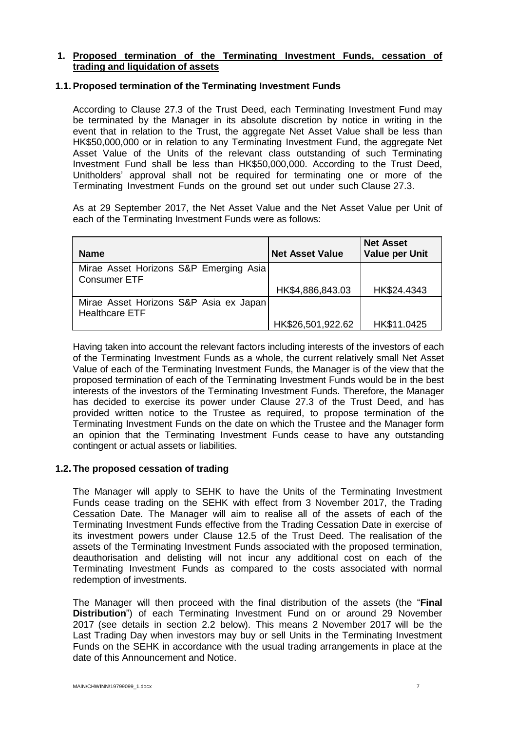## **1. Proposed termination of the Terminating Investment Funds, cessation of trading and liquidation of assets**

## **1.1. Proposed termination of the Terminating Investment Funds**

According to Clause 27.3 of the Trust Deed, each Terminating Investment Fund may be terminated by the Manager in its absolute discretion by notice in writing in the event that in relation to the Trust, the aggregate Net Asset Value shall be less than HK\$50,000,000 or in relation to any Terminating Investment Fund, the aggregate Net Asset Value of the Units of the relevant class outstanding of such Terminating Investment Fund shall be less than HK\$50,000,000. According to the Trust Deed, Unitholders' approval shall not be required for terminating one or more of the Terminating Investment Funds on the ground set out under such Clause 27.3.

As at 29 September 2017, the Net Asset Value and the Net Asset Value per Unit of each of the Terminating Investment Funds were as follows:

| <b>Name</b>                                                     | <b>Net Asset Value</b> | <b>Net Asset</b><br><b>Value per Unit</b> |
|-----------------------------------------------------------------|------------------------|-------------------------------------------|
| Mirae Asset Horizons S&P Emerging Asia<br><b>Consumer ETF</b>   |                        |                                           |
|                                                                 | HK\$4,886,843.03       | HK\$24.4343                               |
| Mirae Asset Horizons S&P Asia ex Japan<br><b>Healthcare ETF</b> |                        |                                           |
|                                                                 | HK\$26,501,922.62      | HK\$11.0425                               |

Having taken into account the relevant factors including interests of the investors of each of the Terminating Investment Funds as a whole, the current relatively small Net Asset Value of each of the Terminating Investment Funds, the Manager is of the view that the proposed termination of each of the Terminating Investment Funds would be in the best interests of the investors of the Terminating Investment Funds. Therefore, the Manager has decided to exercise its power under Clause 27.3 of the Trust Deed, and has provided written notice to the Trustee as required, to propose termination of the Terminating Investment Funds on the date on which the Trustee and the Manager form an opinion that the Terminating Investment Funds cease to have any outstanding contingent or actual assets or liabilities.

## **1.2. The proposed cessation of trading**

The Manager will apply to SEHK to have the Units of the Terminating Investment Funds cease trading on the SEHK with effect from 3 November 2017, the Trading Cessation Date. The Manager will aim to realise all of the assets of each of the Terminating Investment Funds effective from the Trading Cessation Date in exercise of its investment powers under Clause 12.5 of the Trust Deed. The realisation of the assets of the Terminating Investment Funds associated with the proposed termination, deauthorisation and delisting will not incur any additional cost on each of the Terminating Investment Funds as compared to the costs associated with normal redemption of investments.

The Manager will then proceed with the final distribution of the assets (the "**Final Distribution**") of each Terminating Investment Fund on or around 29 November 2017 (see details in section 2.2 below). This means 2 November 2017 will be the Last Trading Day when investors may buy or sell Units in the Terminating Investment Funds on the SEHK in accordance with the usual trading arrangements in place at the date of this Announcement and Notice.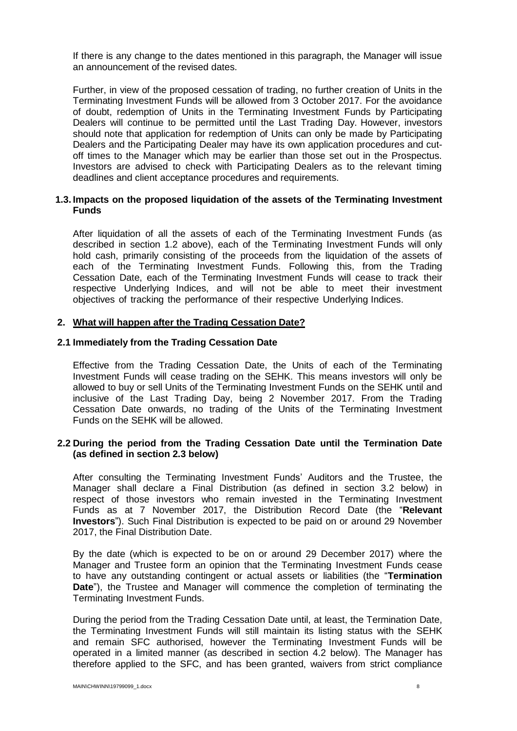If there is any change to the dates mentioned in this paragraph, the Manager will issue an announcement of the revised dates.

Further, in view of the proposed cessation of trading, no further creation of Units in the Terminating Investment Funds will be allowed from 3 October 2017. For the avoidance of doubt, redemption of Units in the Terminating Investment Funds by Participating Dealers will continue to be permitted until the Last Trading Day. However, investors should note that application for redemption of Units can only be made by Participating Dealers and the Participating Dealer may have its own application procedures and cutoff times to the Manager which may be earlier than those set out in the Prospectus. Investors are advised to check with Participating Dealers as to the relevant timing deadlines and client acceptance procedures and requirements.

## **1.3. Impacts on the proposed liquidation of the assets of the Terminating Investment Funds**

After liquidation of all the assets of each of the Terminating Investment Funds (as described in section 1.2 above), each of the Terminating Investment Funds will only hold cash, primarily consisting of the proceeds from the liquidation of the assets of each of the Terminating Investment Funds. Following this, from the Trading Cessation Date, each of the Terminating Investment Funds will cease to track their respective Underlying Indices, and will not be able to meet their investment objectives of tracking the performance of their respective Underlying Indices.

#### **2. What will happen after the Trading Cessation Date?**

#### **2.1 Immediately from the Trading Cessation Date**

Effective from the Trading Cessation Date, the Units of each of the Terminating Investment Funds will cease trading on the SEHK. This means investors will only be allowed to buy or sell Units of the Terminating Investment Funds on the SEHK until and inclusive of the Last Trading Day, being 2 November 2017. From the Trading Cessation Date onwards, no trading of the Units of the Terminating Investment Funds on the SEHK will be allowed.

#### **2.2 During the period from the Trading Cessation Date until the Termination Date (as defined in section 2.3 below)**

After consulting the Terminating Investment Funds' Auditors and the Trustee, the Manager shall declare a Final Distribution (as defined in section 3.2 below) in respect of those investors who remain invested in the Terminating Investment Funds as at 7 November 2017, the Distribution Record Date (the "**Relevant Investors**"). Such Final Distribution is expected to be paid on or around 29 November 2017, the Final Distribution Date.

By the date (which is expected to be on or around 29 December 2017) where the Manager and Trustee form an opinion that the Terminating Investment Funds cease to have any outstanding contingent or actual assets or liabilities (the "**Termination Date**"), the Trustee and Manager will commence the completion of terminating the Terminating Investment Funds.

During the period from the Trading Cessation Date until, at least, the Termination Date, the Terminating Investment Funds will still maintain its listing status with the SEHK and remain SFC authorised, however the Terminating Investment Funds will be operated in a limited manner (as described in section 4.2 below). The Manager has therefore applied to the SFC, and has been granted, waivers from strict compliance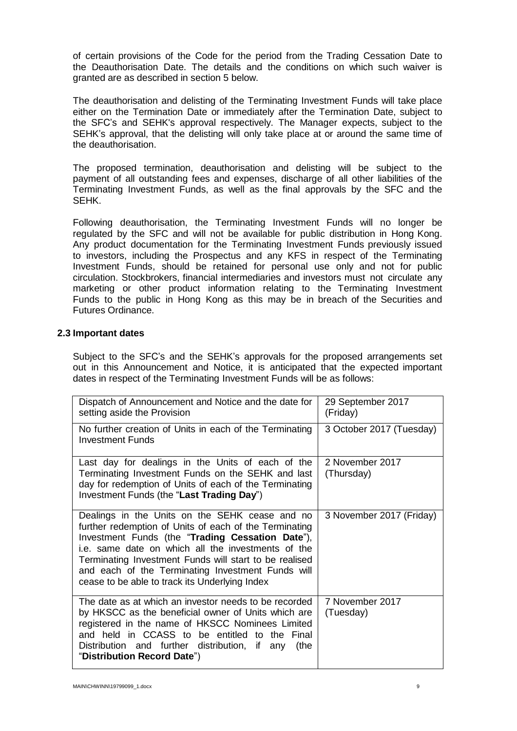of certain provisions of the Code for the period from the Trading Cessation Date to the Deauthorisation Date. The details and the conditions on which such waiver is granted are as described in section 5 below.

The deauthorisation and delisting of the Terminating Investment Funds will take place either on the Termination Date or immediately after the Termination Date, subject to the SFC's and SEHK's approval respectively. The Manager expects, subject to the SEHK's approval, that the delisting will only take place at or around the same time of the deauthorisation.

The proposed termination, deauthorisation and delisting will be subject to the payment of all outstanding fees and expenses, discharge of all other liabilities of the Terminating Investment Funds, as well as the final approvals by the SFC and the SEHK.

Following deauthorisation, the Terminating Investment Funds will no longer be regulated by the SFC and will not be available for public distribution in Hong Kong. Any product documentation for the Terminating Investment Funds previously issued to investors, including the Prospectus and any KFS in respect of the Terminating Investment Funds, should be retained for personal use only and not for public circulation. Stockbrokers, financial intermediaries and investors must not circulate any marketing or other product information relating to the Terminating Investment Funds to the public in Hong Kong as this may be in breach of the Securities and Futures Ordinance.

#### **2.3 Important dates**

Subject to the SFC's and the SEHK's approvals for the proposed arrangements set out in this Announcement and Notice, it is anticipated that the expected important dates in respect of the Terminating Investment Funds will be as follows:

| Dispatch of Announcement and Notice and the date for<br>setting aside the Provision                                                                                                                                                                                                                                                                                                 | 29 September 2017<br>(Friday) |
|-------------------------------------------------------------------------------------------------------------------------------------------------------------------------------------------------------------------------------------------------------------------------------------------------------------------------------------------------------------------------------------|-------------------------------|
| No further creation of Units in each of the Terminating<br><b>Investment Funds</b>                                                                                                                                                                                                                                                                                                  | 3 October 2017 (Tuesday)      |
| Last day for dealings in the Units of each of the<br>Terminating Investment Funds on the SEHK and last<br>day for redemption of Units of each of the Terminating<br>Investment Funds (the "Last Trading Day")                                                                                                                                                                       | 2 November 2017<br>(Thursday) |
| Dealings in the Units on the SEHK cease and no<br>further redemption of Units of each of the Terminating<br>Investment Funds (the "Trading Cessation Date"),<br>i.e. same date on which all the investments of the<br>Terminating Investment Funds will start to be realised<br>and each of the Terminating Investment Funds will<br>cease to be able to track its Underlying Index | 3 November 2017 (Friday)      |
| The date as at which an investor needs to be recorded<br>by HKSCC as the beneficial owner of Units which are<br>registered in the name of HKSCC Nominees Limited<br>and held in CCASS to be entitled to the Final<br>Distribution and further distribution, if any<br>(the<br>"Distribution Record Date")                                                                           | 7 November 2017<br>(Tuesday)  |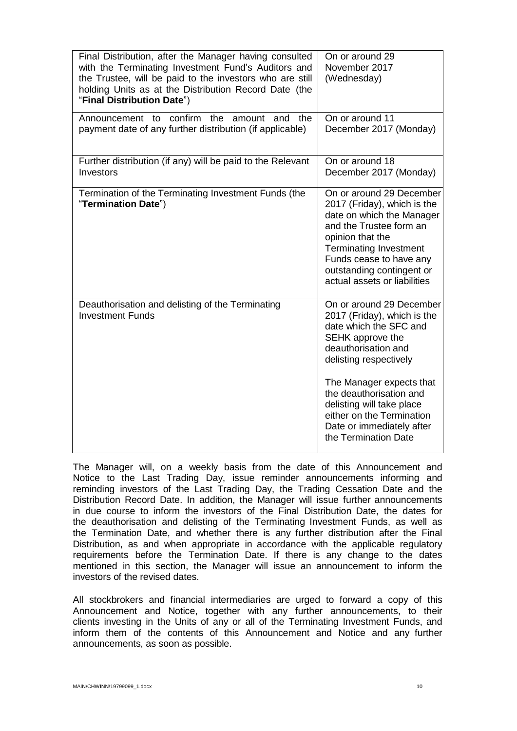| On or around 29<br>November 2017<br>(Wednesday)                                                                                                                                                                                                                                                                              |
|------------------------------------------------------------------------------------------------------------------------------------------------------------------------------------------------------------------------------------------------------------------------------------------------------------------------------|
| On or around 11<br>December 2017 (Monday)                                                                                                                                                                                                                                                                                    |
| On or around 18<br>December 2017 (Monday)                                                                                                                                                                                                                                                                                    |
| On or around 29 December<br>2017 (Friday), which is the<br>date on which the Manager<br>and the Trustee form an<br>opinion that the<br><b>Terminating Investment</b><br>Funds cease to have any<br>outstanding contingent or<br>actual assets or liabilities                                                                 |
| On or around 29 December<br>2017 (Friday), which is the<br>date which the SFC and<br>SEHK approve the<br>deauthorisation and<br>delisting respectively<br>The Manager expects that<br>the deauthorisation and<br>delisting will take place<br>either on the Termination<br>Date or immediately after<br>the Termination Date |
|                                                                                                                                                                                                                                                                                                                              |

The Manager will, on a weekly basis from the date of this Announcement and Notice to the Last Trading Day, issue reminder announcements informing and reminding investors of the Last Trading Day, the Trading Cessation Date and the Distribution Record Date. In addition, the Manager will issue further announcements in due course to inform the investors of the Final Distribution Date, the dates for the deauthorisation and delisting of the Terminating Investment Funds, as well as the Termination Date, and whether there is any further distribution after the Final Distribution, as and when appropriate in accordance with the applicable regulatory requirements before the Termination Date. If there is any change to the dates mentioned in this section, the Manager will issue an announcement to inform the investors of the revised dates.

All stockbrokers and financial intermediaries are urged to forward a copy of this Announcement and Notice, together with any further announcements, to their clients investing in the Units of any or all of the Terminating Investment Funds, and inform them of the contents of this Announcement and Notice and any further announcements, as soon as possible.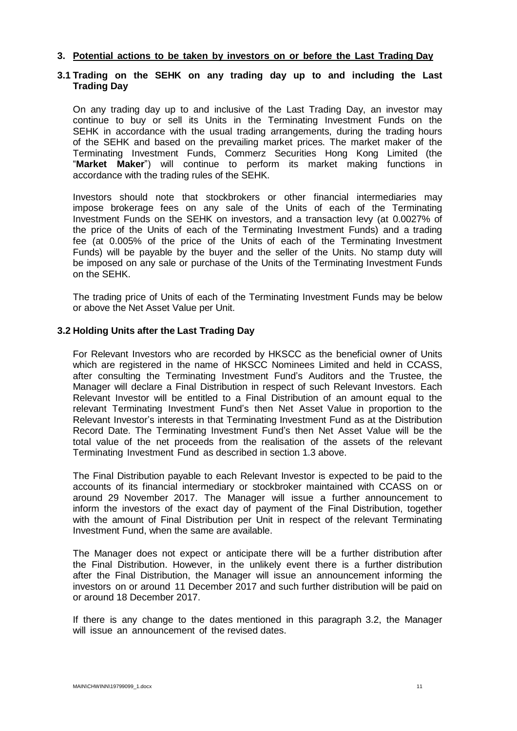#### **3. Potential actions to be taken by investors on or before the Last Trading Day**

## **3.1 Trading on the SEHK on any trading day up to and including the Last Trading Day**

On any trading day up to and inclusive of the Last Trading Day, an investor may continue to buy or sell its Units in the Terminating Investment Funds on the SEHK in accordance with the usual trading arrangements, during the trading hours of the SEHK and based on the prevailing market prices. The market maker of the Terminating Investment Funds, Commerz Securities Hong Kong Limited (the "**Market Maker**") will continue to perform its market making functions in accordance with the trading rules of the SEHK.

Investors should note that stockbrokers or other financial intermediaries may impose brokerage fees on any sale of the Units of each of the Terminating Investment Funds on the SEHK on investors, and a transaction levy (at 0.0027% of the price of the Units of each of the Terminating Investment Funds) and a trading fee (at 0.005% of the price of the Units of each of the Terminating Investment Funds) will be payable by the buyer and the seller of the Units. No stamp duty will be imposed on any sale or purchase of the Units of the Terminating Investment Funds on the SEHK.

The trading price of Units of each of the Terminating Investment Funds may be below or above the Net Asset Value per Unit.

#### **3.2 Holding Units after the Last Trading Day**

For Relevant Investors who are recorded by HKSCC as the beneficial owner of Units which are registered in the name of HKSCC Nominees Limited and held in CCASS, after consulting the Terminating Investment Fund's Auditors and the Trustee, the Manager will declare a Final Distribution in respect of such Relevant Investors. Each Relevant Investor will be entitled to a Final Distribution of an amount equal to the relevant Terminating Investment Fund's then Net Asset Value in proportion to the Relevant Investor's interests in that Terminating Investment Fund as at the Distribution Record Date. The Terminating Investment Fund's then Net Asset Value will be the total value of the net proceeds from the realisation of the assets of the relevant Terminating Investment Fund as described in section 1.3 above.

The Final Distribution payable to each Relevant Investor is expected to be paid to the accounts of its financial intermediary or stockbroker maintained with CCASS on or around 29 November 2017. The Manager will issue a further announcement to inform the investors of the exact day of payment of the Final Distribution, together with the amount of Final Distribution per Unit in respect of the relevant Terminating Investment Fund, when the same are available.

The Manager does not expect or anticipate there will be a further distribution after the Final Distribution. However, in the unlikely event there is a further distribution after the Final Distribution, the Manager will issue an announcement informing the investors on or around 11 December 2017 and such further distribution will be paid on or around 18 December 2017.

If there is any change to the dates mentioned in this paragraph 3.2, the Manager will issue an announcement of the revised dates.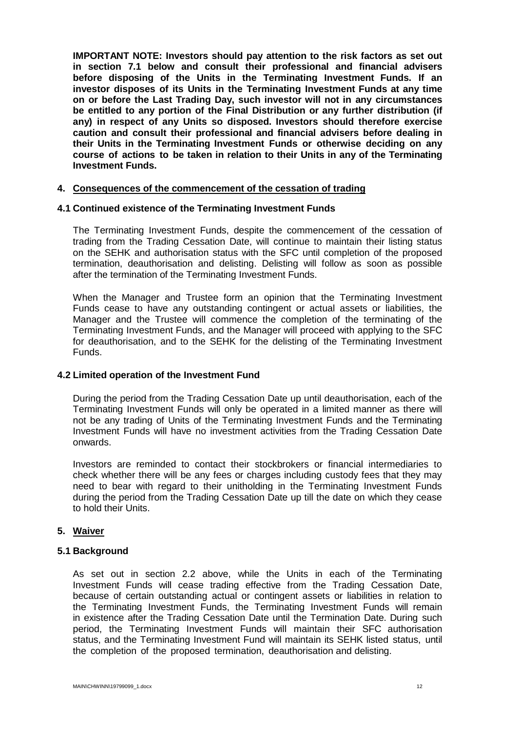**IMPORTANT NOTE: Investors should pay attention to the risk factors as set out in section 7.1 below and consult their professional and financial advisers before disposing of the Units in the Terminating Investment Funds. If an investor disposes of its Units in the Terminating Investment Funds at any time on or before the Last Trading Day, such investor will not in any circumstances be entitled to any portion of the Final Distribution or any further distribution (if any) in respect of any Units so disposed. Investors should therefore exercise caution and consult their professional and financial advisers before dealing in their Units in the Terminating Investment Funds or otherwise deciding on any course of actions to be taken in relation to their Units in any of the Terminating Investment Funds.**

#### **4. Consequences of the commencement of the cessation of trading**

#### **4.1 Continued existence of the Terminating Investment Funds**

The Terminating Investment Funds, despite the commencement of the cessation of trading from the Trading Cessation Date, will continue to maintain their listing status on the SEHK and authorisation status with the SFC until completion of the proposed termination, deauthorisation and delisting. Delisting will follow as soon as possible after the termination of the Terminating Investment Funds.

When the Manager and Trustee form an opinion that the Terminating Investment Funds cease to have any outstanding contingent or actual assets or liabilities, the Manager and the Trustee will commence the completion of the terminating of the Terminating Investment Funds, and the Manager will proceed with applying to the SFC for deauthorisation, and to the SEHK for the delisting of the Terminating Investment Funds.

#### **4.2 Limited operation of the Investment Fund**

During the period from the Trading Cessation Date up until deauthorisation, each of the Terminating Investment Funds will only be operated in a limited manner as there will not be any trading of Units of the Terminating Investment Funds and the Terminating Investment Funds will have no investment activities from the Trading Cessation Date onwards.

Investors are reminded to contact their stockbrokers or financial intermediaries to check whether there will be any fees or charges including custody fees that they may need to bear with regard to their unitholding in the Terminating Investment Funds during the period from the Trading Cessation Date up till the date on which they cease to hold their Units.

#### **5. Waiver**

#### **5.1 Background**

As set out in section 2.2 above, while the Units in each of the Terminating Investment Funds will cease trading effective from the Trading Cessation Date, because of certain outstanding actual or contingent assets or liabilities in relation to the Terminating Investment Funds, the Terminating Investment Funds will remain in existence after the Trading Cessation Date until the Termination Date. During such period, the Terminating Investment Funds will maintain their SFC authorisation status, and the Terminating Investment Fund will maintain its SEHK listed status, until the completion of the proposed termination, deauthorisation and delisting.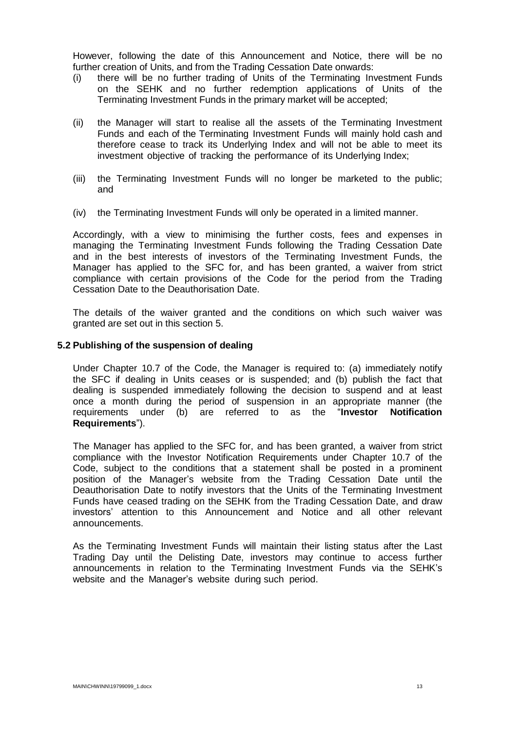However, following the date of this Announcement and Notice, there will be no further creation of Units, and from the Trading Cessation Date onwards:

- (i) there will be no further trading of Units of the Terminating Investment Funds on the SEHK and no further redemption applications of Units of the Terminating Investment Funds in the primary market will be accepted;
- (ii) the Manager will start to realise all the assets of the Terminating Investment Funds and each of the Terminating Investment Funds will mainly hold cash and therefore cease to track its Underlying Index and will not be able to meet its investment objective of tracking the performance of its Underlying Index;
- (iii) the Terminating Investment Funds will no longer be marketed to the public; and
- (iv) the Terminating Investment Funds will only be operated in a limited manner.

Accordingly, with a view to minimising the further costs, fees and expenses in managing the Terminating Investment Funds following the Trading Cessation Date and in the best interests of investors of the Terminating Investment Funds, the Manager has applied to the SFC for, and has been granted, a waiver from strict compliance with certain provisions of the Code for the period from the Trading Cessation Date to the Deauthorisation Date.

The details of the waiver granted and the conditions on which such waiver was granted are set out in this section 5.

#### **5.2 Publishing of the suspension of dealing**

Under Chapter 10.7 of the Code, the Manager is required to: (a) immediately notify the SFC if dealing in Units ceases or is suspended; and (b) publish the fact that dealing is suspended immediately following the decision to suspend and at least once a month during the period of suspension in an appropriate manner (the requirements under (b) are referred to as the "**Investor Notification Requirements**").

The Manager has applied to the SFC for, and has been granted, a waiver from strict compliance with the Investor Notification Requirements under Chapter 10.7 of the Code, subject to the conditions that a statement shall be posted in a prominent position of the Manager's website from the Trading Cessation Date until the Deauthorisation Date to notify investors that the Units of the Terminating Investment Funds have ceased trading on the SEHK from the Trading Cessation Date, and draw investors' attention to this Announcement and Notice and all other relevant announcements.

As the Terminating Investment Funds will maintain their listing status after the Last Trading Day until the Delisting Date, investors may continue to access further announcements in relation to the Terminating Investment Funds via the SEHK's website and the Manager's website during such period.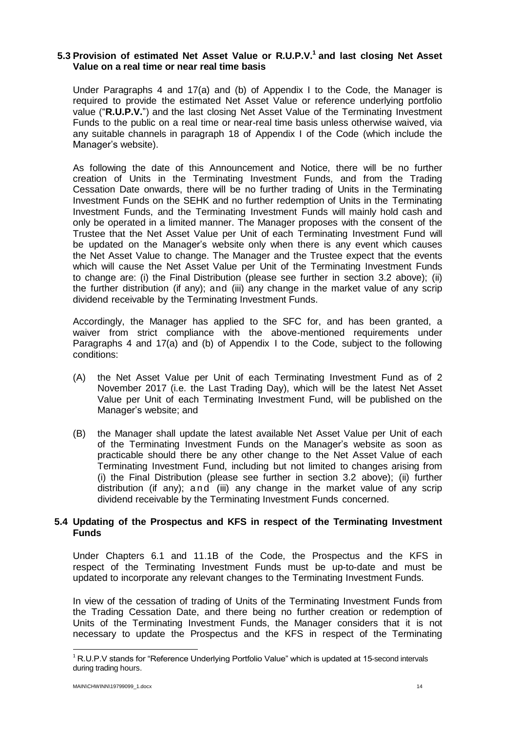## **5.3 Provision of estimated Net Asset Value or R.U.P.V. 1 and last closing Net Asset Value on a real time or near real time basis**

Under Paragraphs 4 and 17(a) and (b) of Appendix I to the Code, the Manager is required to provide the estimated Net Asset Value or reference underlying portfolio value ("**R.U.P.V.**") and the last closing Net Asset Value of the Terminating Investment Funds to the public on a real time or near-real time basis unless otherwise waived, via any suitable channels in paragraph 18 of Appendix I of the Code (which include the Manager's website).

As following the date of this Announcement and Notice, there will be no further creation of Units in the Terminating Investment Funds, and from the Trading Cessation Date onwards, there will be no further trading of Units in the Terminating Investment Funds on the SEHK and no further redemption of Units in the Terminating Investment Funds, and the Terminating Investment Funds will mainly hold cash and only be operated in a limited manner. The Manager proposes with the consent of the Trustee that the Net Asset Value per Unit of each Terminating Investment Fund will be updated on the Manager's website only when there is any event which causes the Net Asset Value to change. The Manager and the Trustee expect that the events which will cause the Net Asset Value per Unit of the Terminating Investment Funds to change are: (i) the Final Distribution (please see further in section 3.2 above); (ii) the further distribution (if any); and (iii) any change in the market value of any scrip dividend receivable by the Terminating Investment Funds.

Accordingly, the Manager has applied to the SFC for, and has been granted, a waiver from strict compliance with the above-mentioned requirements under Paragraphs 4 and 17(a) and (b) of Appendix I to the Code, subject to the following conditions:

- (A) the Net Asset Value per Unit of each Terminating Investment Fund as of 2 November 2017 (i.e. the Last Trading Day), which will be the latest Net Asset Value per Unit of each Terminating Investment Fund, will be published on the Manager's website; and
- (B) the Manager shall update the latest available Net Asset Value per Unit of each of the Terminating Investment Funds on the Manager's website as soon as practicable should there be any other change to the Net Asset Value of each Terminating Investment Fund, including but not limited to changes arising from (i) the Final Distribution (please see further in section 3.2 above); (ii) further distribution (if any); and (iii) any change in the market value of any scrip dividend receivable by the Terminating Investment Funds concerned.

## **5.4 Updating of the Prospectus and KFS in respect of the Terminating Investment Funds**

Under Chapters 6.1 and 11.1B of the Code, the Prospectus and the KFS in respect of the Terminating Investment Funds must be up-to-date and must be updated to incorporate any relevant changes to the Terminating Investment Funds.

In view of the cessation of trading of Units of the Terminating Investment Funds from the Trading Cessation Date, and there being no further creation or redemption of Units of the Terminating Investment Funds, the Manager considers that it is not necessary to update the Prospectus and the KFS in respect of the Terminating

**.** 

 $1$ R.U.P.V stands for "Reference Underlying Portfolio Value" which is updated at 15-second intervals during trading hours.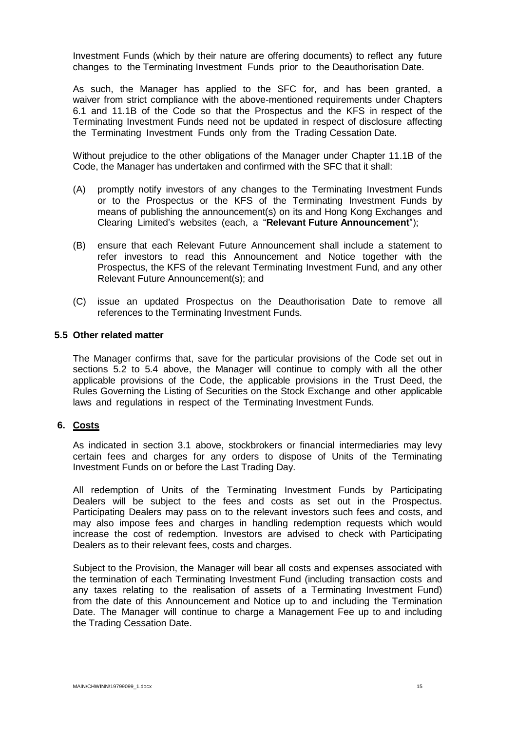Investment Funds (which by their nature are offering documents) to reflect any future changes to the Terminating Investment Funds prior to the Deauthorisation Date.

As such, the Manager has applied to the SFC for, and has been granted, a waiver from strict compliance with the above-mentioned requirements under Chapters 6.1 and 11.1B of the Code so that the Prospectus and the KFS in respect of the Terminating Investment Funds need not be updated in respect of disclosure affecting the Terminating Investment Funds only from the Trading Cessation Date.

Without prejudice to the other obligations of the Manager under Chapter 11.1B of the Code, the Manager has undertaken and confirmed with the SFC that it shall:

- (A) promptly notify investors of any changes to the Terminating Investment Funds or to the Prospectus or the KFS of the Terminating Investment Funds by means of publishing the announcement(s) on its and Hong Kong Exchanges and Clearing Limited's websites (each, a "**Relevant Future Announcement**");
- (B) ensure that each Relevant Future Announcement shall include a statement to refer investors to read this Announcement and Notice together with the Prospectus, the KFS of the relevant Terminating Investment Fund, and any other Relevant Future Announcement(s); and
- (C) issue an updated Prospectus on the Deauthorisation Date to remove all references to the Terminating Investment Funds.

#### **5.5 Other related matter**

The Manager confirms that, save for the particular provisions of the Code set out in sections 5.2 to 5.4 above, the Manager will continue to comply with all the other applicable provisions of the Code, the applicable provisions in the Trust Deed, the Rules Governing the Listing of Securities on the Stock Exchange and other applicable laws and regulations in respect of the Terminating Investment Funds.

#### **6. Costs**

As indicated in section 3.1 above, stockbrokers or financial intermediaries may levy certain fees and charges for any orders to dispose of Units of the Terminating Investment Funds on or before the Last Trading Day.

All redemption of Units of the Terminating Investment Funds by Participating Dealers will be subject to the fees and costs as set out in the Prospectus. Participating Dealers may pass on to the relevant investors such fees and costs, and may also impose fees and charges in handling redemption requests which would increase the cost of redemption. Investors are advised to check with Participating Dealers as to their relevant fees, costs and charges.

Subject to the Provision, the Manager will bear all costs and expenses associated with the termination of each Terminating Investment Fund (including transaction costs and any taxes relating to the realisation of assets of a Terminating Investment Fund) from the date of this Announcement and Notice up to and including the Termination Date. The Manager will continue to charge a Management Fee up to and including the Trading Cessation Date.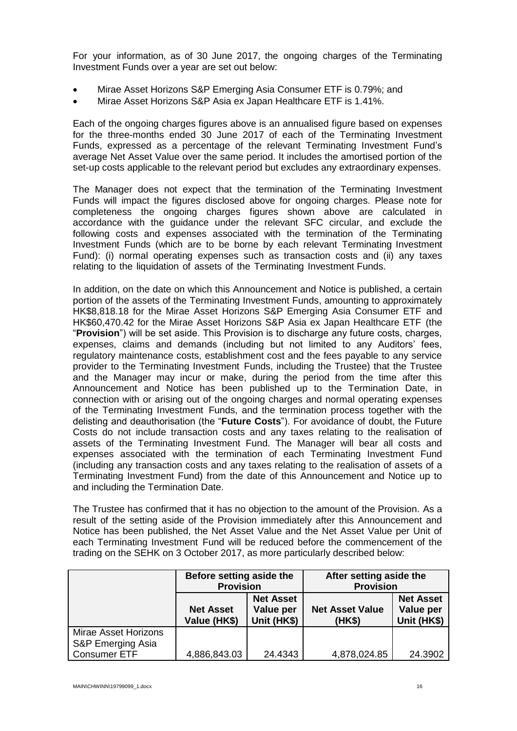For your information, as of 30 June 2017, the ongoing charges of the Terminating Investment Funds over a year are set out below:

- Mirae Asset Horizons S&P Emerging Asia Consumer ETF is 0.79%; and
- Mirae Asset Horizons S&P Asia ex Japan Healthcare ETF is 1.41%.

Each of the ongoing charges figures above is an annualised figure based on expenses for the three-months ended 30 June 2017 of each of the Terminating Investment Funds, expressed as a percentage of the relevant Terminating Investment Fund's average Net Asset Value over the same period. It includes the amortised portion of the set-up costs applicable to the relevant period but excludes any extraordinary expenses.

The Manager does not expect that the termination of the Terminating Investment Funds will impact the figures disclosed above for ongoing charges. Please note for completeness the ongoing charges figures shown above are calculated in accordance with the guidance under the relevant SFC circular, and exclude the following costs and expenses associated with the termination of the Terminating Investment Funds (which are to be borne by each relevant Terminating Investment Fund): (i) normal operating expenses such as transaction costs and (ii) any taxes relating to the liquidation of assets of the Terminating Investment Funds.

In addition, on the date on which this Announcement and Notice is published, a certain portion of the assets of the Terminating Investment Funds, amounting to approximately HK\$8,818.18 for the Mirae Asset Horizons S&P Emerging Asia Consumer ETF and HK\$60,470.42 for the Mirae Asset Horizons S&P Asia ex Japan Healthcare ETF (the "**Provision**") will be set aside. This Provision is to discharge any future costs, charges, expenses, claims and demands (including but not limited to any Auditors' fees, regulatory maintenance costs, establishment cost and the fees payable to any service provider to the Terminating Investment Funds, including the Trustee) that the Trustee and the Manager may incur or make, during the period from the time after this Announcement and Notice has been published up to the Termination Date, in connection with or arising out of the ongoing charges and normal operating expenses of the Terminating Investment Funds, and the termination process together with the delisting and deauthorisation (the "**Future Costs**"). For avoidance of doubt, the Future Costs do not include transaction costs and any taxes relating to the realisation of assets of the Terminating Investment Fund. The Manager will bear all costs and expenses associated with the termination of each Terminating Investment Fund (including any transaction costs and any taxes relating to the realisation of assets of a Terminating Investment Fund) from the date of this Announcement and Notice up to and including the Termination Date.

The Trustee has confirmed that it has no objection to the amount of the Provision. As a result of the setting aside of the Provision immediately after this Announcement and Notice has been published, the Net Asset Value and the Net Asset Value per Unit of each Terminating Investment Fund will be reduced before the commencement of the trading on the SEHK on 3 October 2017, as more particularly described below:

|                                                                  | Before setting aside the<br><b>Provision</b> |                                              | After setting aside the<br><b>Provision</b> |                                              |
|------------------------------------------------------------------|----------------------------------------------|----------------------------------------------|---------------------------------------------|----------------------------------------------|
|                                                                  | <b>Net Asset</b><br>Value (HK\$)             | <b>Net Asset</b><br>Value per<br>Unit (HK\$) | <b>Net Asset Value</b><br>(HK\$)            | <b>Net Asset</b><br>Value per<br>Unit (HK\$) |
| Mirae Asset Horizons<br>S&P Emerging Asia<br><b>Consumer ETF</b> | 4,886,843.03                                 | 24.4343                                      | 4,878,024.85                                | 24.3902                                      |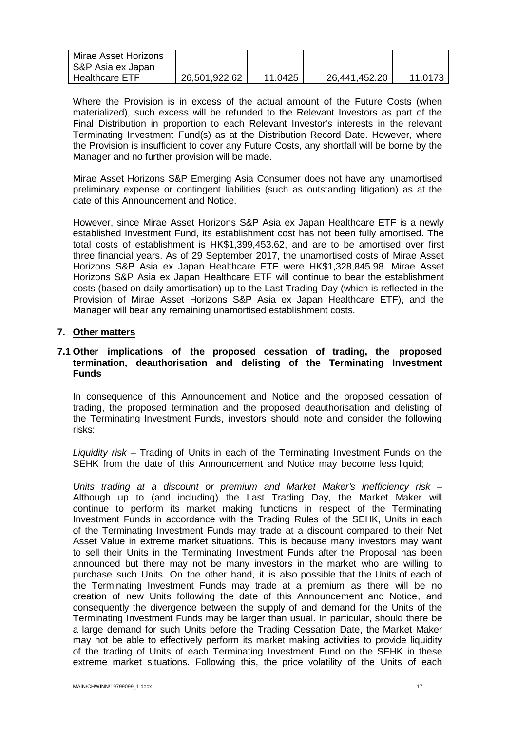| Mirae Asset Horizons<br>  S&P Asia ex Japan |               |         |               |         |
|---------------------------------------------|---------------|---------|---------------|---------|
| I Healthcare ETF.                           | 26,501,922.62 | 11.0425 | 26,441,452.20 | 11.0173 |

Where the Provision is in excess of the actual amount of the Future Costs (when materialized), such excess will be refunded to the Relevant Investors as part of the Final Distribution in proportion to each Relevant Investor's interests in the relevant Terminating Investment Fund(s) as at the Distribution Record Date. However, where the Provision is insufficient to cover any Future Costs, any shortfall will be borne by the Manager and no further provision will be made.

Mirae Asset Horizons S&P Emerging Asia Consumer does not have any unamortised preliminary expense or contingent liabilities (such as outstanding litigation) as at the date of this Announcement and Notice.

However, since Mirae Asset Horizons S&P Asia ex Japan Healthcare ETF is a newly established Investment Fund, its establishment cost has not been fully amortised. The total costs of establishment is HK\$1,399,453.62, and are to be amortised over first three financial years. As of 29 September 2017, the unamortised costs of Mirae Asset Horizons S&P Asia ex Japan Healthcare ETF were HK\$1,328,845.98. Mirae Asset Horizons S&P Asia ex Japan Healthcare ETF will continue to bear the establishment costs (based on daily amortisation) up to the Last Trading Day (which is reflected in the Provision of Mirae Asset Horizons S&P Asia ex Japan Healthcare ETF), and the Manager will bear any remaining unamortised establishment costs.

## **7. Other matters**

## **7.1 Other implications of the proposed cessation of trading, the proposed termination, deauthorisation and delisting of the Terminating Investment Funds**

In consequence of this Announcement and Notice and the proposed cessation of trading, the proposed termination and the proposed deauthorisation and delisting of the Terminating Investment Funds, investors should note and consider the following risks:

*Liquidity risk* – Trading of Units in each of the Terminating Investment Funds on the SEHK from the date of this Announcement and Notice may become less liquid;

*Units trading at a discount or premium and Market Maker's inefficiency risk* – Although up to (and including) the Last Trading Day, the Market Maker will continue to perform its market making functions in respect of the Terminating Investment Funds in accordance with the Trading Rules of the SEHK, Units in each of the Terminating Investment Funds may trade at a discount compared to their Net Asset Value in extreme market situations. This is because many investors may want to sell their Units in the Terminating Investment Funds after the Proposal has been announced but there may not be many investors in the market who are willing to purchase such Units. On the other hand, it is also possible that the Units of each of the Terminating Investment Funds may trade at a premium as there will be no creation of new Units following the date of this Announcement and Notice, and consequently the divergence between the supply of and demand for the Units of the Terminating Investment Funds may be larger than usual. In particular, should there be a large demand for such Units before the Trading Cessation Date, the Market Maker may not be able to effectively perform its market making activities to provide liquidity of the trading of Units of each Terminating Investment Fund on the SEHK in these extreme market situations. Following this, the price volatility of the Units of each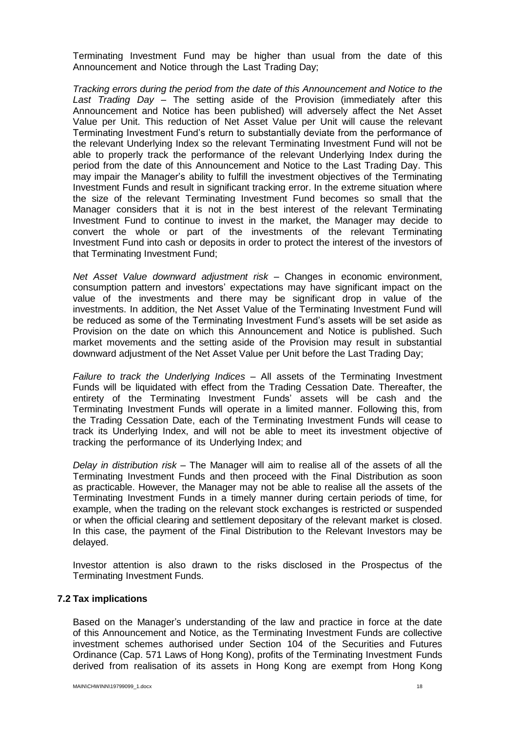Terminating Investment Fund may be higher than usual from the date of this Announcement and Notice through the Last Trading Day;

*Tracking errors during the period from the date of this Announcement and Notice to the Last Trading Day –* The setting aside of the Provision (immediately after this Announcement and Notice has been published) will adversely affect the Net Asset Value per Unit. This reduction of Net Asset Value per Unit will cause the relevant Terminating Investment Fund's return to substantially deviate from the performance of the relevant Underlying Index so the relevant Terminating Investment Fund will not be able to properly track the performance of the relevant Underlying Index during the period from the date of this Announcement and Notice to the Last Trading Day. This may impair the Manager's ability to fulfill the investment objectives of the Terminating Investment Funds and result in significant tracking error. In the extreme situation where the size of the relevant Terminating Investment Fund becomes so small that the Manager considers that it is not in the best interest of the relevant Terminating Investment Fund to continue to invest in the market, the Manager may decide to convert the whole or part of the investments of the relevant Terminating Investment Fund into cash or deposits in order to protect the interest of the investors of that Terminating Investment Fund;

*Net Asset Value downward adjustment risk* – Changes in economic environment, consumption pattern and investors' expectations may have significant impact on the value of the investments and there may be significant drop in value of the investments. In addition, the Net Asset Value of the Terminating Investment Fund will be reduced as some of the Terminating Investment Fund's assets will be set aside as Provision on the date on which this Announcement and Notice is published. Such market movements and the setting aside of the Provision may result in substantial downward adjustment of the Net Asset Value per Unit before the Last Trading Day;

*Failure to track the Underlying Indices* – All assets of the Terminating Investment Funds will be liquidated with effect from the Trading Cessation Date. Thereafter, the entirety of the Terminating Investment Funds' assets will be cash and the Terminating Investment Funds will operate in a limited manner. Following this, from the Trading Cessation Date, each of the Terminating Investment Funds will cease to track its Underlying Index, and will not be able to meet its investment objective of tracking the performance of its Underlying Index; and

*Delay in distribution risk* – The Manager will aim to realise all of the assets of all the Terminating Investment Funds and then proceed with the Final Distribution as soon as practicable. However, the Manager may not be able to realise all the assets of the Terminating Investment Funds in a timely manner during certain periods of time, for example, when the trading on the relevant stock exchanges is restricted or suspended or when the official clearing and settlement depositary of the relevant market is closed. In this case, the payment of the Final Distribution to the Relevant Investors may be delayed.

Investor attention is also drawn to the risks disclosed in the Prospectus of the Terminating Investment Funds.

## **7.2 Tax implications**

Based on the Manager's understanding of the law and practice in force at the date of this Announcement and Notice, as the Terminating Investment Funds are collective investment schemes authorised under Section 104 of the Securities and Futures Ordinance (Cap. 571 Laws of Hong Kong), profits of the Terminating Investment Funds derived from realisation of its assets in Hong Kong are exempt from Hong Kong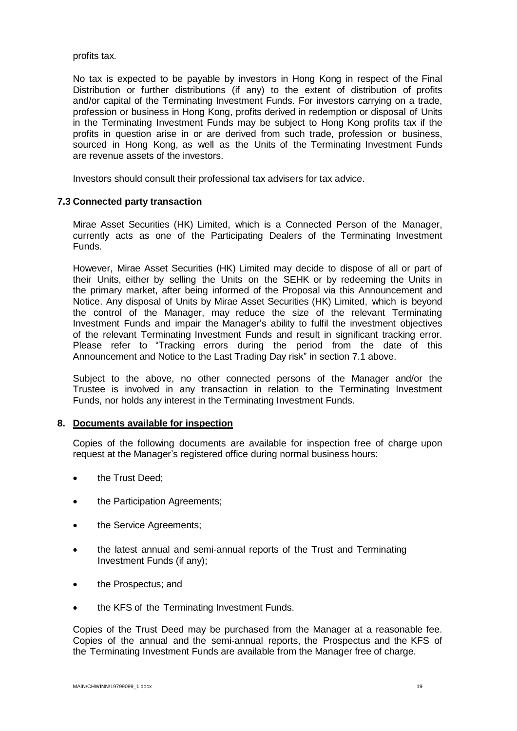profits tax.

No tax is expected to be payable by investors in Hong Kong in respect of the Final Distribution or further distributions (if any) to the extent of distribution of profits and/or capital of the Terminating Investment Funds. For investors carrying on a trade, profession or business in Hong Kong, profits derived in redemption or disposal of Units in the Terminating Investment Funds may be subject to Hong Kong profits tax if the profits in question arise in or are derived from such trade, profession or business, sourced in Hong Kong, as well as the Units of the Terminating Investment Funds are revenue assets of the investors.

Investors should consult their professional tax advisers for tax advice.

## **7.3 Connected party transaction**

Mirae Asset Securities (HK) Limited, which is a Connected Person of the Manager, currently acts as one of the Participating Dealers of the Terminating Investment Funds.

However, Mirae Asset Securities (HK) Limited may decide to dispose of all or part of their Units, either by selling the Units on the SEHK or by redeeming the Units in the primary market, after being informed of the Proposal via this Announcement and Notice. Any disposal of Units by Mirae Asset Securities (HK) Limited, which is beyond the control of the Manager, may reduce the size of the relevant Terminating Investment Funds and impair the Manager's ability to fulfil the investment objectives of the relevant Terminating Investment Funds and result in significant tracking error. Please refer to "Tracking errors during the period from the date of this Announcement and Notice to the Last Trading Day risk" in section 7.1 above.

Subject to the above, no other connected persons of the Manager and/or the Trustee is involved in any transaction in relation to the Terminating Investment Funds, nor holds any interest in the Terminating Investment Funds.

#### **8. Documents available for inspection**

Copies of the following documents are available for inspection free of charge upon request at the Manager's registered office during normal business hours:

- the Trust Deed;
- the Participation Agreements;
- the Service Agreements;
- the latest annual and semi-annual reports of the Trust and Terminating Investment Funds (if any);
- the Prospectus; and
- the KFS of the Terminating Investment Funds.

Copies of the Trust Deed may be purchased from the Manager at a reasonable fee. Copies of the annual and the semi-annual reports, the Prospectus and the KFS of the Terminating Investment Funds are available from the Manager free of charge.